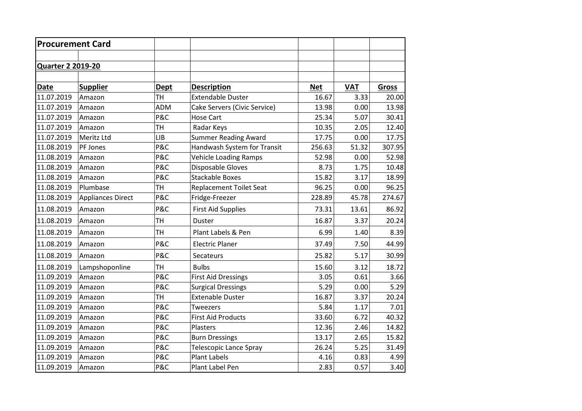| <b>Procurement Card</b>  |                   |             |                                |            |            |              |  |  |
|--------------------------|-------------------|-------------|--------------------------------|------------|------------|--------------|--|--|
|                          |                   |             |                                |            |            |              |  |  |
| <b>Quarter 2 2019-20</b> |                   |             |                                |            |            |              |  |  |
|                          |                   |             |                                |            |            |              |  |  |
| <b>Date</b>              | <b>Supplier</b>   | <b>Dept</b> | <b>Description</b>             | <b>Net</b> | <b>VAT</b> | <b>Gross</b> |  |  |
| 11.07.2019               | Amazon            | TН          | <b>Extendable Duster</b>       | 16.67      | 3.33       | 20.00        |  |  |
| 11.07.2019               | Amazon            | <b>ADM</b>  | Cake Servers (Civic Service)   | 13.98      | 0.00       | 13.98        |  |  |
| 11.07.2019               | Amazon            | P&C         | <b>Hose Cart</b>               | 25.34      | 5.07       | 30.41        |  |  |
| 11.07.2019               | Amazon            | TН          | Radar Keys                     | 10.35      | 2.05       | 12.40        |  |  |
| 11.07.2019               | Meritz Ltd        | <b>LIB</b>  | <b>Summer Reading Award</b>    | 17.75      | 0.00       | 17.75        |  |  |
| 11.08.2019               | PF Jones          | P&C         | Handwash System for Transit    | 256.63     | 51.32      | 307.95       |  |  |
| 11.08.2019               | Amazon            | P&C         | <b>Vehicle Loading Ramps</b>   | 52.98      | 0.00       | 52.98        |  |  |
| 11.08.2019               | Amazon            | P&C         | Disposable Gloves              | 8.73       | 1.75       | 10.48        |  |  |
| 11.08.2019               | Amazon            | P&C         | <b>Stackable Boxes</b>         | 15.82      | 3.17       | 18.99        |  |  |
| 11.08.2019               | Plumbase          | <b>TH</b>   | <b>Replacement Toilet Seat</b> | 96.25      | 0.00       | 96.25        |  |  |
| 11.08.2019               | Appliances Direct | P&C         | Fridge-Freezer                 | 228.89     | 45.78      | 274.67       |  |  |
| 11.08.2019               | Amazon            | P&C         | <b>First Aid Supplies</b>      | 73.31      | 13.61      | 86.92        |  |  |
| 11.08.2019               | Amazon            | <b>TH</b>   | <b>Duster</b>                  | 16.87      | 3.37       | 20.24        |  |  |
| 11.08.2019               | Amazon            | TН          | Plant Labels & Pen             | 6.99       | 1.40       | 8.39         |  |  |
| 11.08.2019               | Amazon            | P&C         | <b>Electric Planer</b>         | 37.49      | 7.50       | 44.99        |  |  |
| 11.08.2019               | Amazon            | P&C         | Secateurs                      | 25.82      | 5.17       | 30.99        |  |  |
| 11.08.2019               | Lampshoponline    | TH          | <b>Bulbs</b>                   | 15.60      | 3.12       | 18.72        |  |  |
| 11.09.2019               | Amazon            | P&C         | <b>First Aid Dressings</b>     | 3.05       | 0.61       | 3.66         |  |  |
| 11.09.2019               | Amazon            | P&C         | <b>Surgical Dressings</b>      | 5.29       | 0.00       | 5.29         |  |  |
| 11.09.2019               | Amazon            | <b>TH</b>   | <b>Extenable Duster</b>        | 16.87      | 3.37       | 20.24        |  |  |
| 11.09.2019               | Amazon            | P&C         | Tweezers                       | 5.84       | 1.17       | 7.01         |  |  |
| 11.09.2019               | Amazon            | P&C         | <b>First Aid Products</b>      | 33.60      | 6.72       | 40.32        |  |  |
| 11.09.2019               | Amazon            | P&C         | Plasters                       | 12.36      | 2.46       | 14.82        |  |  |
| 11.09.2019               | Amazon            | P&C         | <b>Burn Dressings</b>          | 13.17      | 2.65       | 15.82        |  |  |
| 11.09.2019               | Amazon            | P&C         | <b>Telescopic Lance Spray</b>  | 26.24      | 5.25       | 31.49        |  |  |
| 11.09.2019               | Amazon            | P&C         | <b>Plant Labels</b>            | 4.16       | 0.83       | 4.99         |  |  |
| 11.09.2019               | Amazon            | P&C         | Plant Label Pen                | 2.83       | 0.57       | 3.40         |  |  |